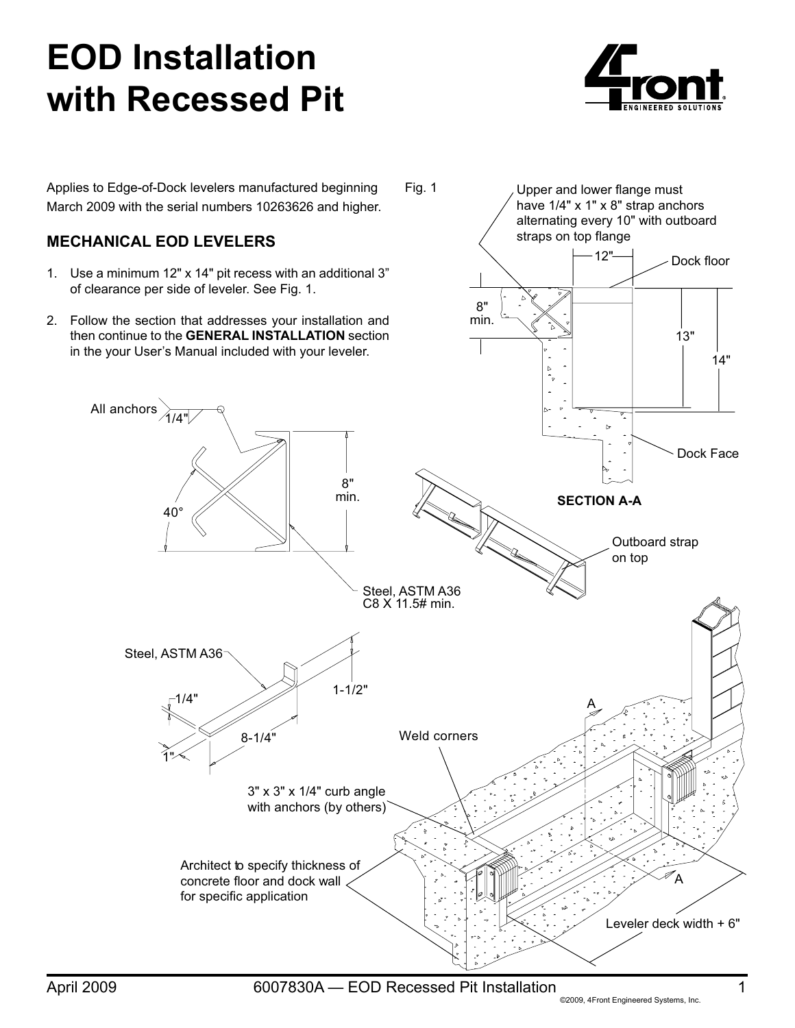## **EOD Installation with Recessed Pit**



Upper and lower flange must have 1/4" x 1" x 8" strap anchors alternating every 10" with outboard

Applies to Edge-of-Dock levelers manufactured beginning March 2009 with the serial numbers 10263626 and higher. Fig. 1

## **Mechanical EOD levelers**

All anchors

- 1. Use a minimum 12" x 14" pit recess with an additional 3" of clearance per side of leveler. See Fig. 1.
- 2. Follow the section that addresses your installation and then continue to the **GENERAL INSTALLATION** section in the your User's Manual included with your leveler.